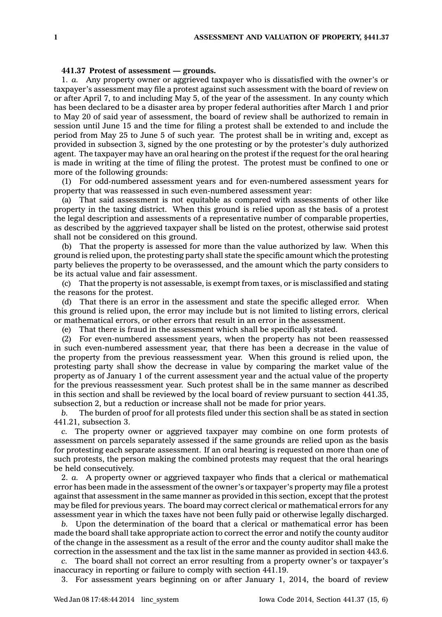## **441.37 Protest of assessment —grounds.**

1. *a.* Any property owner or aggrieved taxpayer who is dissatisfied with the owner's or taxpayer's assessment may file <sup>a</sup> protest against such assessment with the board of review on or after April 7, to and including May 5, of the year of the assessment. In any county which has been declared to be <sup>a</sup> disaster area by proper federal authorities after March 1 and prior to May 20 of said year of assessment, the board of review shall be authorized to remain in session until June 15 and the time for filing <sup>a</sup> protest shall be extended to and include the period from May 25 to June 5 of such year. The protest shall be in writing and, except as provided in subsection 3, signed by the one protesting or by the protester's duly authorized agent. The taxpayer may have an oral hearing on the protest if the request for the oral hearing is made in writing at the time of filing the protest. The protest must be confined to one or more of the following grounds:

(1) For odd-numbered assessment years and for even-numbered assessment years for property that was reassessed in such even-numbered assessment year:

(a) That said assessment is not equitable as compared with assessments of other like property in the taxing district. When this ground is relied upon as the basis of <sup>a</sup> protest the legal description and assessments of <sup>a</sup> representative number of comparable properties, as described by the aggrieved taxpayer shall be listed on the protest, otherwise said protest shall not be considered on this ground.

(b) That the property is assessed for more than the value authorized by law. When this ground is relied upon, the protesting party shall state the specific amount which the protesting party believes the property to be overassessed, and the amount which the party considers to be its actual value and fair assessment.

(c) That the property is not assessable, is exempt from taxes, or is misclassified and stating the reasons for the protest.

(d) That there is an error in the assessment and state the specific alleged error. When this ground is relied upon, the error may include but is not limited to listing errors, clerical or mathematical errors, or other errors that result in an error in the assessment.

(e) That there is fraud in the assessment which shall be specifically stated.

(2) For even-numbered assessment years, when the property has not been reassessed in such even-numbered assessment year, that there has been <sup>a</sup> decrease in the value of the property from the previous reassessment year. When this ground is relied upon, the protesting party shall show the decrease in value by comparing the market value of the property as of January 1 of the current assessment year and the actual value of the property for the previous reassessment year. Such protest shall be in the same manner as described in this section and shall be reviewed by the local board of review pursuant to section 441.35, subsection 2, but <sup>a</sup> reduction or increase shall not be made for prior years.

*b.* The burden of proof for all protests filed under this section shall be as stated in section 441.21, subsection 3.

*c.* The property owner or aggrieved taxpayer may combine on one form protests of assessment on parcels separately assessed if the same grounds are relied upon as the basis for protesting each separate assessment. If an oral hearing is requested on more than one of such protests, the person making the combined protests may request that the oral hearings be held consecutively.

2. *a.* A property owner or aggrieved taxpayer who finds that <sup>a</sup> clerical or mathematical error has been made in the assessment of the owner's or taxpayer's property may file <sup>a</sup> protest against that assessment in the same manner as provided in this section, except that the protest may be filed for previous years. The board may correct clerical or mathematical errors for any assessment year in which the taxes have not been fully paid or otherwise legally discharged.

*b.* Upon the determination of the board that <sup>a</sup> clerical or mathematical error has been made the board shall take appropriate action to correct the error and notify the county auditor of the change in the assessment as <sup>a</sup> result of the error and the county auditor shall make the correction in the assessment and the tax list in the same manner as provided in section 443.6.

*c.* The board shall not correct an error resulting from <sup>a</sup> property owner's or taxpayer's inaccuracy in reporting or failure to comply with section 441.19.

3. For assessment years beginning on or after January 1, 2014, the board of review